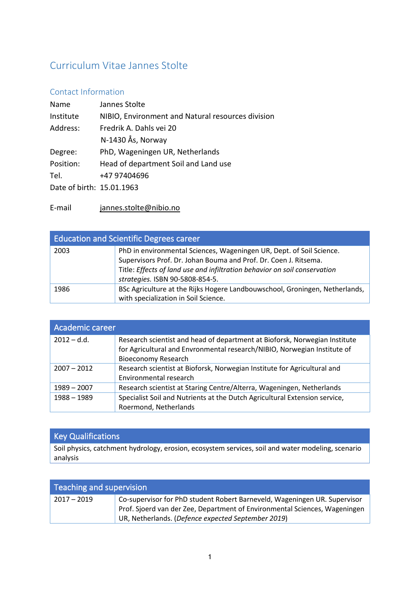# Curriculum Vitae Jannes Stolte

# Contact Information

| Name                      | Jannes Stolte                                     |
|---------------------------|---------------------------------------------------|
| Institute                 | NIBIO, Environment and Natural resources division |
| Address:                  | Fredrik A. Dahls vei 20                           |
|                           | N-1430 Ås, Norway                                 |
| Degree:                   | PhD, Wageningen UR, Netherlands                   |
| Position:                 | Head of department Soil and Land use              |
| Tel.                      | +47 97404696                                      |
| Date of birth: 15.01.1963 |                                                   |

E-mail [jannes.stolte@nibio.no](mailto:jannes.stolte@nibio.no)

| <b>Education and Scientific Degrees career</b> |                                                                                                                                                                                                                                                          |
|------------------------------------------------|----------------------------------------------------------------------------------------------------------------------------------------------------------------------------------------------------------------------------------------------------------|
| 2003                                           | PhD in environmental Sciences, Wageningen UR, Dept. of Soil Science.<br>Supervisors Prof. Dr. Johan Bouma and Prof. Dr. Coen J. Ritsema.<br>Title: Effects of land use and infiltration behavior on soil conservation<br>strategies. ISBN 90-5808-854-5. |
| 1986                                           | BSc Agriculture at the Rijks Hogere Landbouwschool, Groningen, Netherlands,<br>with specialization in Soil Science.                                                                                                                                      |

| Academic career |                                                                                                                                                                                      |
|-----------------|--------------------------------------------------------------------------------------------------------------------------------------------------------------------------------------|
| $2012 - d.d.$   | Research scientist and head of department at Bioforsk, Norwegian Institute<br>for Agricultural and Envronmental research/NIBIO, Norwegian Institute of<br><b>Bioeconomy Research</b> |
| $2007 - 2012$   | Research scientist at Bioforsk, Norwegian Institute for Agricultural and<br>Environmental research                                                                                   |
| $1989 - 2007$   | Research scientist at Staring Centre/Alterra, Wageningen, Netherlands                                                                                                                |
| 1988 - 1989     | Specialist Soil and Nutrients at the Dutch Agricultural Extension service,<br>Roermond, Netherlands                                                                                  |

# Key Qualifications

Soil physics, catchment hydrology, erosion, ecosystem services, soil and water modeling, scenario analysis

| Teaching and supervision |                                                                                                                                                                                                               |
|--------------------------|---------------------------------------------------------------------------------------------------------------------------------------------------------------------------------------------------------------|
| $2017 - 2019$            | Co-supervisor for PhD student Robert Barneveld, Wageningen UR. Supervisor<br>Prof. Sjoerd van der Zee, Department of Environmental Sciences, Wageningen<br>UR, Netherlands. (Defence expected September 2019) |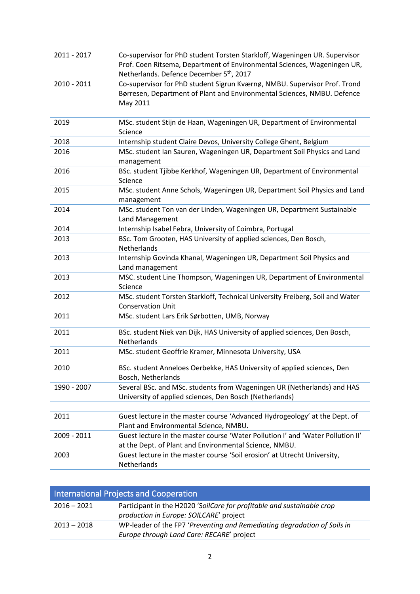| 2011 - 2017 | Co-supervisor for PhD student Torsten Starkloff, Wageningen UR. Supervisor<br>Prof. Coen Ritsema, Department of Environmental Sciences, Wageningen UR,<br>Netherlands. Defence December 5 <sup>th</sup> , 2017 |
|-------------|----------------------------------------------------------------------------------------------------------------------------------------------------------------------------------------------------------------|
| 2010 - 2011 | Co-supervisor for PhD student Sigrun Kværnø, NMBU. Supervisor Prof. Trond<br>Børresen, Department of Plant and Environmental Sciences, NMBU. Defence<br>May 2011                                               |
|             |                                                                                                                                                                                                                |
| 2019        | MSc. student Stijn de Haan, Wageningen UR, Department of Environmental<br>Science                                                                                                                              |
| 2018        | Internship student Claire Devos, University College Ghent, Belgium                                                                                                                                             |
| 2016        | MSc. student Ian Sauren, Wageningen UR, Department Soil Physics and Land<br>management                                                                                                                         |
| 2016        | BSc. student Tjibbe Kerkhof, Wageningen UR, Department of Environmental<br>Science                                                                                                                             |
| 2015        | MSc. student Anne Schols, Wageningen UR, Department Soil Physics and Land<br>management                                                                                                                        |
| 2014        | MSc. student Ton van der Linden, Wageningen UR, Department Sustainable<br>Land Management                                                                                                                      |
| 2014        | Internship Isabel Febra, University of Coimbra, Portugal                                                                                                                                                       |
| 2013        | BSc. Tom Grooten, HAS University of applied sciences, Den Bosch,<br>Netherlands                                                                                                                                |
| 2013        | Internship Govinda Khanal, Wageningen UR, Department Soil Physics and<br>Land management                                                                                                                       |
| 2013        | MSC. student Line Thompson, Wageningen UR, Department of Environmental<br>Science                                                                                                                              |
| 2012        | MSc. student Torsten Starkloff, Technical University Freiberg, Soil and Water<br><b>Conservation Unit</b>                                                                                                      |
| 2011        | MSc. student Lars Erik Sørbotten, UMB, Norway                                                                                                                                                                  |
| 2011        | BSc. student Niek van Dijk, HAS University of applied sciences, Den Bosch,<br>Netherlands                                                                                                                      |
| 2011        | MSc. student Geoffrie Kramer, Minnesota University, USA                                                                                                                                                        |
| 2010        | BSc. student Anneloes Oerbekke, HAS University of applied sciences, Den<br>Bosch, Netherlands                                                                                                                  |
| 1990 - 2007 | Several BSc. and MSc. students from Wageningen UR (Netherlands) and HAS<br>University of applied sciences, Den Bosch (Netherlands)                                                                             |
| 2011        | Guest lecture in the master course 'Advanced Hydrogeology' at the Dept. of<br>Plant and Environmental Science, NMBU.                                                                                           |
| 2009 - 2011 | Guest lecture in the master course 'Water Pollution I' and 'Water Pollution II'<br>at the Dept. of Plant and Environmental Science, NMBU.                                                                      |
| 2003        | Guest lecture in the master course 'Soil erosion' at Utrecht University,<br>Netherlands                                                                                                                        |

| International Projects and Cooperation |                                                                                                                       |
|----------------------------------------|-----------------------------------------------------------------------------------------------------------------------|
| $2016 - 2021$                          | Participant in the H2020 'SoilCare for profitable and sustainable crop<br>production in Europe: SOILCARE' project     |
| $2013 - 2018$                          | WP-leader of the FP7 'Preventing and Remediating degradation of Soils in<br>Europe through Land Care: RECARE' project |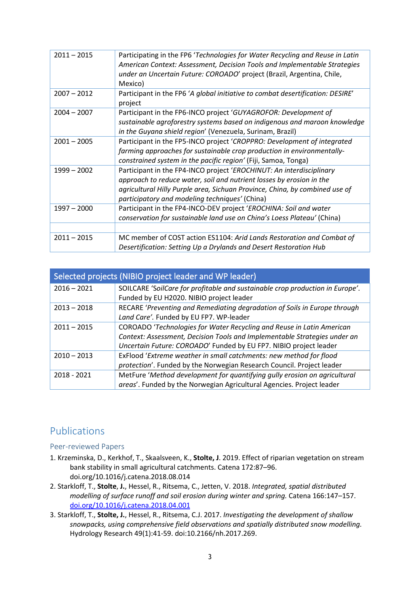| $2011 - 2015$ | Participating in the FP6 'Technologies for Water Recycling and Reuse in Latin<br>American Context: Assessment, Decision Tools and Implementable Strategies<br>under an Uncertain Future: COROADO' project (Brazil, Argentina, Chile,<br>Mexico)                               |
|---------------|-------------------------------------------------------------------------------------------------------------------------------------------------------------------------------------------------------------------------------------------------------------------------------|
| $2007 - 2012$ | Participant in the FP6 'A global initiative to combat desertification: DESIRE'<br>project                                                                                                                                                                                     |
| $2004 - 2007$ | Participant in the FP6-INCO project 'GUYAGROFOR: Development of<br>sustainable agroforestry systems based on indigenous and maroon knowledge<br>in the Guyana shield region' (Venezuela, Surinam, Brazil)                                                                     |
| $2001 - 2005$ | Participant in the FP5-INCO project 'CROPPRO: Development of integrated<br>farming approaches for sustainable crop production in environmentally-<br>constrained system in the pacific region' (Fiji, Samoa, Tonga)                                                           |
| 1999 - 2002   | Participant in the FP4-INCO project 'EROCHINUT: An interdisciplinary<br>approach to reduce water, soil and nutrient losses by erosion in the<br>agricultural Hilly Purple area, Sichuan Province, China, by combined use of<br>participatory and modeling techniques' (China) |
| $1997 - 2000$ | Participant in the FP4-INCO-DEV project 'EROCHINA: Soil and water<br>conservation for sustainable land use on China's Loess Plateau' (China)                                                                                                                                  |
|               |                                                                                                                                                                                                                                                                               |
| $2011 - 2015$ | MC member of COST action ES1104: Arid Lands Restoration and Combat of<br>Desertification: Setting Up a Drylands and Desert Restoration Hub                                                                                                                                    |

| Selected projects (NIBIO project leader and WP leader) |                                                                               |
|--------------------------------------------------------|-------------------------------------------------------------------------------|
| $2016 - 2021$                                          | SOILCARE 'SoilCare for profitable and sustainable crop production in Europe'. |
|                                                        | Funded by EU H2020. NIBIO project leader                                      |
| $2013 - 2018$                                          | RECARE 'Preventing and Remediating degradation of Soils in Europe through     |
|                                                        | Land Care'. Funded by EU FP7. WP-leader                                       |
| $2011 - 2015$                                          | COROADO 'Technologies for Water Recycling and Reuse in Latin American         |
|                                                        | Context: Assessment, Decision Tools and Implementable Strategies under an     |
|                                                        | Uncertain Future: COROADO' Funded by EU FP7. NIBIO project leader             |
| $2010 - 2013$                                          | ExFlood 'Extreme weather in small catchments: new method for flood            |
|                                                        | protection'. Funded by the Norwegian Research Council. Project leader         |
| 2018 - 2021                                            | MetFure 'Method development for quantifying gully erosion on agricultural     |
|                                                        | areas'. Funded by the Norwegian Agricultural Agencies. Project leader         |

# Publications

### Peer-reviewed Papers

- 1. Krzeminska, D., Kerkhof, T., Skaalsveen, K., **Stolte, J**. 2019. Effect of riparian vegetation on stream bank stability in small agricultural catchments. Catena 172:87–96. doi.org/10.1016/j.catena.2018.08.014
- 2. Starkloff, T., **Stolte**, **J.**, Hessel, R., Ritsema, C., Jetten, V. 2018. *Integrated, spatial distributed modelling of surface runoff and soil erosion during winter and spring.* Catena 166:147–157. [doi.org/10.1016/j.catena.2018.04.001](https://doi.org/10.1016/j.catena.2018.04.001)
- 3. Starkloff, T., **Stolte, J.**, Hessel, R., Ritsema, C.J. 2017. *Investigating the development of shallow snowpacks, using comprehensive field observations and spatially distributed snow modelling.* Hydrology Research 49(1):41-59. doi:10.2166/nh.2017.269.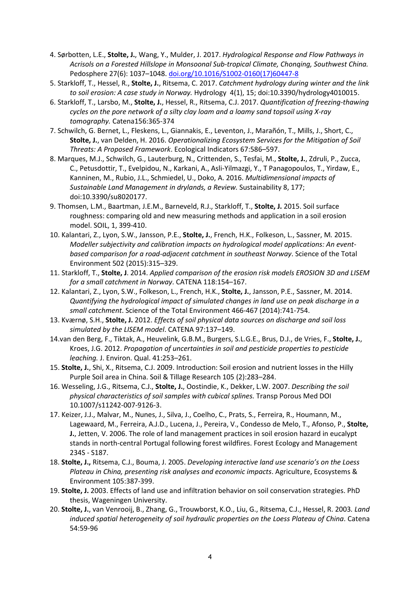- 4. Sørbotten, L.E., **Stolte, J.**, Wang, Y., Mulder, J. 2017. *Hydrological Response and Flow Pathways in Acrisols on a Forested Hillslope in Monsoonal Sub-tropical Climate, Chonqing, Southwest China.*  Pedosphere 27(6): 1037–1048. [doi.org/10.1016/S1002-0160\(17\)60447-8](https://doi.org/10.1016/S1002-0160(17)60447-8)
- 5. Starkloff, T., Hessel, R., **Stolte, J.**, Ritsema, C. 2017. *Catchment hydrology during winter and the link to soil erosion: A case study in Norway.* Hydrology 4(1), 15; doi:10.3390/hydrology4010015.
- 6. Starkloff, T., Larsbo, M., **Stolte, J.**, Hessel, R., Ritsema, C.J. 2017. *Quantification of freezing-thawing cycles on the pore network of a silty clay loam and a loamy sand topsoil using X-ray tomography.* Catena156:365-374
- 7. Schwilch, G. Bernet, L., Fleskens, L., Giannakis, E., Leventon, J., Marañón, T., Mills, J., Short, C., **Stolte, J.**, van Delden, H. 2016. *Operationalizing Ecosystem Services for the Mitigation of Soil Threats: A Proposed Framework*. Ecological Indicators 67:586–597.
- 8. Marques, M.J., Schwilch, G., Lauterburg, N., Crittenden, S., Tesfai, M., **Stolte, J.**, Zdruli, P., Zucca, C., Petusdottir, T., Evelpidou, N., Karkani, A., Asli-Yilmazgi, Y., T Panagopoulos, T., Yirdaw, E., Kanninen, M., Rubio, J.L., Schmiedel, U., Doko, A. 2016. *Multidimensional impacts of Sustainable Land Management in drylands, a Review.* Sustainability 8, 177; doi:10.3390/su8020177.
- 9. Thomsen, L.M., Baartman, J.E.M., Barneveld, R.J., Starkloff, T., **Stolte, J.** 2015. Soil surface roughness: comparing old and new measuring methods and application in a soil erosion model. SOIL, 1, 399-410.
- 10. Kalantari, Z., Lyon, S.W., Jansson, P.E., **Stolte, J.**, French, H.K., Folkeson, L., Sassner, M*.* 2015. *Modeller subjectivity and calibration impacts on hydrological model applications: An eventbased comparison for a road-adjacent catchment in southeast Norway*. Science of the Total Environment 502 (2015):315–329.
- 11. Starkloff, T., **Stolte, J**. 2014. *Applied comparison of the erosion risk models EROSION 3D and LISEM for a small catchment in Norway*. CATENA 118:154–167.
- 12. Kalantari, Z., Lyon, S.W., Folkeson, L., French, H.K., **Stolte, J.**, Jansson, P.E., Sassner, M. 2014. *Quantifying the hydrological impact of simulated changes in land use on peak discharge in a small catchment*. Science of the Total Environment 466-467 (2014):741-754.
- 13. Kværnø, S.H., **Stolte, J.** 2012. *Effects of soil physical data sources on discharge and soil loss simulated by the LISEM model*. CATENA 97:137–149.
- 14.van den Berg, F., Tiktak, A., Heuvelink, G.B.M., Burgers, S.L.G.E., Brus, D.J., de Vries, F., **Stolte, J.**, Kroes, J.G. 2012. *Propagation of uncertainties in soil and pesticide properties to pesticide leaching.* J. Environ. Qual. 41:253–261.
- 15. **Stolte, J.**, Shi, X., Ritsema, C.J. 2009. Introduction: Soil erosion and nutrient losses in the Hilly Purple Soil area in China. Soil & Tillage Research 105 (2):283–284.
- 16. Wesseling, J.G., Ritsema, C.J., **Stolte, J.**, Oostindie, K., Dekker, L.W. 2007. *Describing the soil physical characteristics of soil samples with cubical splines.* Transp Porous Med DOI 10.1007/s11242-007-9126-3.
- 17. Keizer, J.J., Malvar, M., Nunes, J., Silva, J., Coelho, C., Prats, S., Ferreira, R., Houmann, M., Lagewaard, M., Ferreira, A.J.D., Lucena, J., Pereira, V., Condesso de Melo, T., Afonso, P., **Stolte, J.**, Jetten, V. 2006. The role of land management practices in soil erosion hazard in eucalypt stands in north-central Portugal following forest wildfires. Forest Ecology and Management 234S - S187.
- 18. **Stolte, J.,** Ritsema, C.J., Bouma, J. 2005. *Developing interactive land use scenario's on the Loess Plateau in China, presenting risk analyses and economic impacts*. Agriculture, Ecosystems & Environment 105:387-399.
- 19. **Stolte, J.** 2003. Effects of land use and infiltration behavior on soil conservation strategies. PhD thesis, Wageningen University.
- 20. **Stolte, J.**, van Venrooij, B., Zhang, G., Trouwborst, K.O., Liu, G., Ritsema, C.J., Hessel, R. 2003*. Land induced spatial heterogeneity of soil hydraulic properties on the Loess Plateau of China*. Catena 54:59-96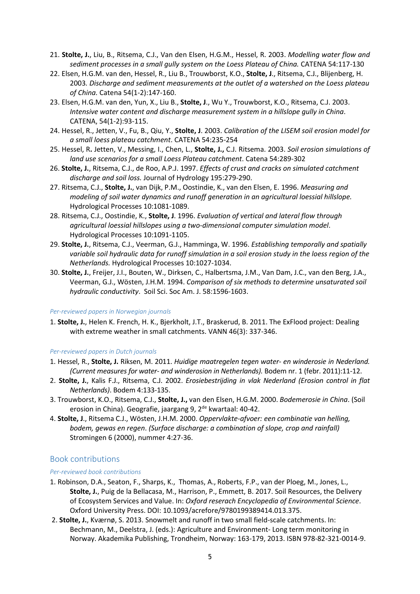- 21. **Stolte, J.**, Liu, B., Ritsema, C.J., Van den Elsen, H.G.M., Hessel, R. 2003. *Modelling water flow and sediment processes in a small gully system on the Loess Plateau of China.* CATENA 54:117-130
- 22. Elsen, H.G.M. van den, Hessel, R., Liu B., Trouwborst, K.O., **Stolte, J**., Ritsema, C.J., Blijenberg, H. 2003*. Discharge and sediment measurements at the outlet of a watershed on the Loess plateau of China.* Catena 54(1-2):147-160.
- 23. Elsen, H.G.M. van den, Yun, X., Liu B., **Stolte, J**., Wu Y., Trouwborst, K.O., Ritsema, C.J. 2003. *Intensive water content and discharge measurement system in a hillslope gully in China*. CATENA, 54(1-2):93-115.
- 24. Hessel, R., Jetten, V., Fu, B., Qiu, Y., **Stolte, J**. 2003. *Calibration of the LISEM soil erosion model for a small loess plateau catchment*. CATENA 54:235-254
- 25. Hessel, R**.** Jetten, V., Messing, I., Chen, L., **Stolte, J.,** C.J. Ritsema. 2003. *Soil erosion simulations of land use scenarios for a small Loess Plateau catchment*. Catena 54:289-302
- 26. **Stolte, J.**, Ritsema, C.J., de Roo, A.P.J. 1997. *Effects of crust and cracks on simulated catchment discharge and soil loss.* Journal of Hydrology 195:279-290.
- 27. Ritsema, C.J., **Stolte, J.**, van Dijk, P.M., Oostindie, K., van den Elsen, E. 1996. *Measuring and modeling of soil water dynamics and runoff generation in an agricultural loessial hillslope.*  Hydrological Processes 10:1081-1089.
- 28. Ritsema, C.J., Oostindie, K., **Stolte, J**. 1996. *Evaluation of vertical and lateral flow through agricultural loessial hillslopes using a two-dimensional computer simulation model*. Hydrological Processes 10:1091-1105.
- 29. **Stolte, J.**, Ritsema, C.J., Veerman, G.J., Hamminga, W. 1996. *Establishing temporally and spatially variable soil hydraulic data for runoff simulation in a soil erosion study in the loess region of the Netherlands.* Hydrological Processes 10:1027-1034.
- 30. **Stolte, J.**, Freijer, J.I., Bouten, W., Dirksen, C., Halbertsma, J.M., Van Dam, J.C., van den Berg, J.A., Veerman, G.J., Wösten, J.H.M. 1994. *Comparison of six methods to determine unsaturated soil hydraulic conductivity*. Soil Sci. Soc Am. J. 58:1596-1603.

#### *Per-reviewed papers in Norwegian journals*

1. **Stolte, J.**, Helen K. French, H. K., Bjerkholt, J.T., Braskerud, B. 2011. The ExFlood project: Dealing with extreme weather in small catchments. VANN 46(3): 337-346.

#### *Per-reviewed papers in Dutch journals*

- 1. Hessel, R., **Stolte, J.** Riksen, M. 2011. *Huidige maatregelen tegen water- en winderosie in Nederland. (Current measures for water- and winderosion in Netherlands).* Bodem nr. 1 (febr. 2011):11-12.
- 2. **Stolte, J.**, Kalis F.J., Ritsema, C.J. 2002. *Erosiebestrijding in vlak Nederland (Erosion control in flat Netherlands)*. Bodem 4:133-135.
- 3. Trouwborst, K.O., Ritsema, C.J., **Stolte, J.,** van den Elsen, H.G.M. 2000. *Bodemerosie in China*. (Soil erosion in China). Geografie, jaargang 9, 2<sup>de</sup> kwartaal: 40-42.
- 4. **Stolte, J**., Ritsema C.J., Wösten, J.H.M. 2000. *Oppervlakte-afvoer: een combinatie van helling, bodem, gewas en regen*. *(Surface discharge: a combination of slope, crop and rainfall)* Stromingen 6 (2000), nummer 4:27-36.

#### Book contributions

#### *Per-reviewed book contributions*

- 1. Robinson, D.A., Seaton, F., Sharps, K., Thomas, A., Roberts, F.P., van der Ploeg, M., Jones, L., **Stolte, J.**, Puig de la Bellacasa, M., Harrison, P., Emmett, B. 2017. Soil Resources, the Delivery of Ecosystem Services and Value. In: *Oxford reserach Encyclopedia of Environmental Science*. Oxford University Press. DOI: 10.1093/acrefore/9780199389414.013.375.
- 2. **Stolte, J.**, Kværnø, S. 2013. Snowmelt and runoff in two small field-scale catchments. In: Bechmann, M., Deelstra, J. (eds.): Agriculture and Environment- Long term monitoring in Norway. Akademika Publishing, Trondheim, Norway: 163-179, 2013. ISBN 978-82-321-0014-9.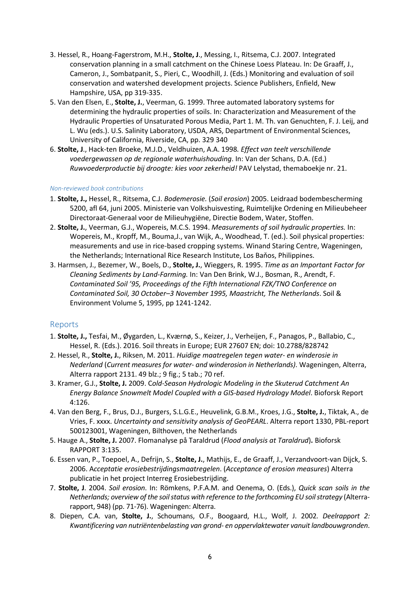- 3. Hessel, R., Hoang-Fagerstrom, M.H., **Stolte, J**., Messing, I., Ritsema, C.J. 2007. Integrated conservation planning in a small catchment on the Chinese Loess Plateau. In: De Graaff, J., Cameron, J., Sombatpanit, S., Pieri, C., Woodhill, J. (Eds.) Monitoring and evaluation of soil conservation and watershed development projects. Science Publishers, Enfield, New Hampshire, USA, pp 319-335.
- 5. Van den Elsen, E., **Stolte, J.**, Veerman, G. 1999. Three automated laboratory systems for determining the hydraulic properties of soils. In: Characterization and Measurement of the Hydraulic Properties of Unsaturated Porous Media, Part 1. M. Th. van Genuchten, F. J. Leij, and L. Wu (eds.). U.S. Salinity Laboratory, USDA, ARS, Department of Environmental Sciences, University of California, Riverside, CA, pp. 329 340
- 6. **Stolte, J**., Hack-ten Broeke, M.J.D., Veldhuizen, A.A. 1998*. Effect van teelt verschillende voedergewassen op de regionale waterhuishouding*. In: Van der Schans, D.A. (Ed.) *Ruwvoederproductie bij droogte: kies voor zekerheid!* PAV Lelystad, themaboekje nr. 21.

#### *Non-reviewed book contributions*

- 1. **Stolte, J.,** Hessel, R., Ritsema, C.J. *Bodemerosie.* (*Soil erosion*) 2005. Leidraad bodembescherming 5200, afl 64, juni 2005. Ministerie van Volkshuisvesting, Ruimtelijke Ordening en Milieubeheer Directoraat-Generaal voor de Milieuhygiëne, Directie Bodem, Water, Stoffen.
- 2. **Stolte, J.**, Veerman, G.J., Wopereis, M.C.S. 1994. *Measurements of soil hydraulic properties.* In: Wopereis, M., Kropff, M., Bouma,J., van Wijk, A., Woodhead, T. (ed.). Soil physical properties: measurements and use in rice-based cropping systems. Winand Staring Centre, Wageningen, the Netherlands; International Rice Research Institute, Los Baňos, Philippines.
- 3. Harmsen, J., Bezemer, W., Boels, D., **Stolte, J.**, Wieggers, R. 1995. *Time as an Important Factor for Cleaning Sediments by Land-Farming.* In: Van Den Brink, W.J., Bosman, R., Arendt, F. *Contaminated Soil '95, Proceedings of the Fifth International FZK/TNO Conference on Contaminated Soil, 30 October–3 November 1995, Maastricht, The Netherlands*. Soil & Environment Volume 5, 1995, pp 1241-1242.

#### Reports

- 1. **Stolte, J.,** Tesfai, M., Øygarden, L., Kværnø, S., Keizer, J., Verheijen, F., Panagos, P., Ballabio, C., Hessel, R. (Eds.). 2016. Soil threats in Europe; EUR 27607 EN; doi: 10.2788/828742
- 2. Hessel, R., **Stolte, J.**, Riksen, M. 2011. *Huidige maatregelen tegen water- en winderosie in Nederland* (*Current measures for water- and winderosion in Netherlands)*. Wageningen, Alterra, Alterra rapport 2131. 49 blz.; 9 fig.; 5 tab.; 70 ref.
- 3. Kramer, G.J., **Stolte, J.** 2009. C*old-Season Hydrologic Modeling in the Skuterud Catchment An Energy Balance Snowmelt Model Coupled with a GIS-based Hydrology Model*. Bioforsk Report 4:126.
- 4. Van den Berg, F., Brus, D.J., Burgers, S.L.G.E., Heuvelink, G.B.M., Kroes, J.G., **Stolte, J.**, Tiktak, A., de Vries, F. xxxx. *Uncertainty and sensitivity analysis of GeoPEARL*. Alterra report 1330, PBL-report 500123001, Wageningen, Bilthoven, the Netherlands
- 5. Hauge A., **Stolte, J.** 2007. Flomanalyse på Taraldrud (*Flood analysis at Taraldrud*)**.** Bioforsk RAPPORT 3:135.
- 6. Essen van, P., Toepoel, A., Defrijn, S., **Stolte, J.**, Mathijs, E., de Graaff, J., Verzandvoort-van Dijck, S. 2006. A*cceptatie erosiebestrijdingsmaatregelen*. (*Acceptance of erosion measures*) Alterra publicatie in het project Interreg Erosiebestrijding.
- 7. **Stolte, J**. 2004. *Soil erosion*. In: Römkens, P.F.A.M. and Oenema, O. (Eds.), *Quick scan soils in the Netherlands; overview of the soil status with reference to the forthcoming EU soil strategy* (Alterrarapport, 948) (pp. 71-76). Wageningen: Alterra.
- 8. Diepen, C.A. van, **Stolte, J.**, Schoumans, O.F., Boogaard, H.L., Wolf, J. 2002*. Deelrapport 2: Kwantificering van nutriëntenbelasting van grond- en oppervlaktewater vanuit landbouwgronden*.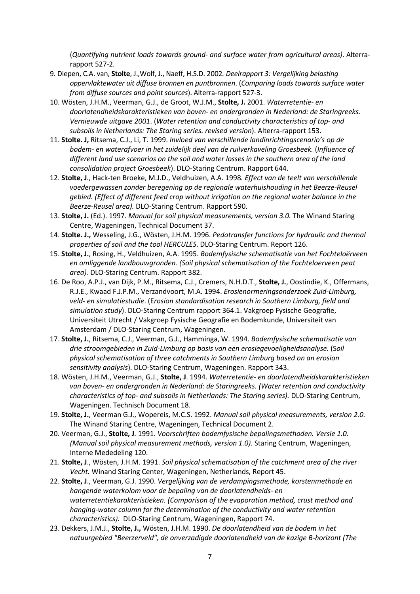(*Quantifying nutrient loads towards ground- and surface water from agricultural areas)*. Alterrarapport 527-2.

- 9. Diepen, C.A. van, **Stolte**, J.,Wolf, J., Naeff, H.S.D. 2002*. Deelrapport 3: Vergelijking belasting oppervlaktewater uit diffuse bronnen en puntbronnen*. (*Comparing loads towards surface water from diffuse sources and point sources*). Alterra-rapport 527-3.
- 10. Wösten, J.H.M., Veerman, G.J., de Groot, W.J.M., **Stolte, J.** 2001. *Waterretentie- en doorlatendheidskarakteristieken van boven- en ondergronden in Nederland: de Staringreeks. Vernieuwde uitgave 2001*. (*Water retention and conductivity characteristics of top- and subsoils in Netherlands: The Staring series. revised version*). Alterra-rapport 153.
- 11. **Stolte. J,** Ritsema, C.J., Li, T. 1999. *Invloed van verschillende landinrichtingscenario's op de bodem- en waterafvoer in het zuidelijk deel van de ruilverkaveling Groesbeek.* (*Influence of different land use scenarios on the soil and water losses in the southern area of the land consolidation project Groesbeek*). DLO-Staring Centrum. Rapport 644.
- 12. **Stolte, J**., Hack-ten Broeke, M.J.D., Veldhuizen, A.A. 1998*. Effect van de teelt van verschillende voedergewassen zonder beregening op de regionale waterhuishouding in het Beerze-Reusel gebied. (Effect of different feed crop without irrigation on the regional water balance in the Beerze-Reusel area).* DLO-Staring Centrum. Rapport 590.
- 13. **Stolte, J.** (Ed.). 1997. *Manual for soil physical measurements, version 3.0.* The Winand Staring Centre, Wageningen, Technical Document 37.
- 14. **Stolte. J.,** Wesseling, J.G., Wösten, J.H.M. 1996. *Pedotransfer functions for hydraulic and thermal properties of soil and the tool HERCULES*. DLO-Staring Centrum. Report 126.
- 15. **Stolte, J.**, Rosing, H., Veldhuizen, A.A. 1995. *Bodemfysische schematisatie van het Fochteloërveen en omliggende landbouwgronden. (Soil physical schematisation of the Fochteloerveen peat area).* DLO-Staring Centrum. Rapport 382.
- 16. De Roo, A.P.J., van Dijk, P.M., Ritsema, C.J., Cremers, N.H.D.T., **Stolte, J.**, Oostindie, K., Offermans, R.J.E., Kwaad F.J.P.M., Verzandvoort, M.A. 1994. *Erosienormeringsonderzoek Zuid-Limburg, veld- en simulatiestudie*. (E*rosion standardisation research in Southern Limburg, field and simulation study*). DLO-Staring Centrum rapport 364.1. Vakgroep Fysische Geografie, Universiteit Utrecht / Vakgroep Fysische Geografie en Bodemkunde, Universiteit van Amsterdam / DLO-Staring Centrum, Wageningen.
- 17. **Stolte, J.**, Ritsema, C.J., Veerman, G.J., Hamminga, W. 1994. *Bodemfysische schematisatie van drie stroomgebieden in Zuid-Limburg op basis van een erosiegevoeligheidsanalyse.* (S*oil physical schematisation of three catchments in Southern Limburg based on an erosion sensitivity analysis*). DLO-Staring Centrum, Wageningen. Rapport 343.
- 18. Wösten, J.H.M., Veerman, G.J., **Stolte, J**. 1994. *Waterretentie- en doorlatendheidskarakteristieken van boven- en ondergronden in Nederland: de Staringreeks. (Water retention and conductivity characteristics of top- and subsoils in Netherlands: The Staring series).* DLO-Staring Centrum, Wageningen. Technisch Document 18.
- 19. **Stolte, J.**, Veerman G.J., Wopereis, M.C.S. 1992. *Manual soil physical measurements, version 2.0.* The Winand Staring Centre, Wageningen, Technical Document 2.
- 20. Veerman, G.J., **Stolte, J**. 1991. *Voorschriften bodemfysische bepalingsmethoden. Versie 1.0. (Manual soil physical measurement methods, version 1.0).* Staring Centrum, Wageningen, Interne Mededeling 120.
- 21. **Stolte, J**., Wösten, J.H.M. 1991. *Soil physical schematisation of the catchment area of the river Vecht.* Winand Staring Center, Wageningen, Netherlands, Report 45.
- 22. **Stolte, J**., Veerman, G.J. 1990. *Vergelijking van de verdampingsmethode, korstenmethode en hangende waterkolom voor de bepaling van de doorlatendheids- en waterretentiekarakteristieken. (Comparison of the evaporation method, crust method and hanging-water column for the determination of the conductivity and water retention characteristics).* DLO-Staring Centrum, Wageningen, Rapport 74.
- 23. Dekkers, J.M.J., **Stolte, J.,** Wösten, J.H.M. 1990. *De doorlatendheid van de bodem in het natuurgebied "Beerzerveld", de onverzadigde doorlatendheid van de kazige B-horizont (The*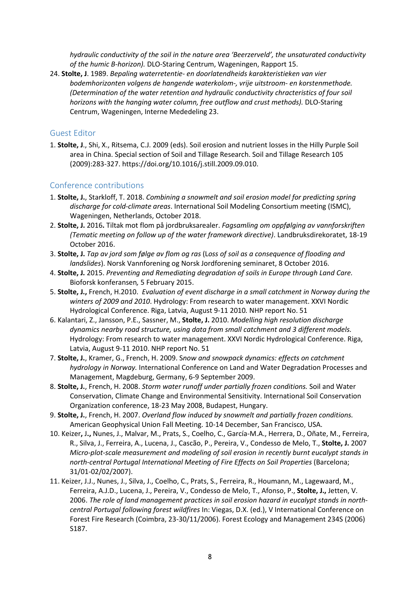*hydraulic conductivity of the soil in the nature area 'Beerzerveld', the unsaturated conductivity of the humic B-horizon).* DLO-Staring Centrum, Wageningen, Rapport 15.

24. **Stolte, J**. 1989. *Bepaling waterretentie- en doorlatendheids karakteristieken van vier bodemhorizonten volgens de hangende waterkolom-, vrije uitstroom- en korstenmethode. (Determination of the water retention and hydraulic conductivity chracteristics of four soil horizons with the hanging water column, free outflow and crust methods).* DLO-Staring Centrum, Wageningen, Interne Mededeling 23.

### Guest Editor

1. **Stolte, J**., Shi, X., Ritsema, C.J. 2009 (eds). Soil erosion and nutrient losses in the Hilly Purple Soil area in China. Special section of Soil and Tillage Research. Soil and Tillage Research 105 (2009):283-327. https://doi.org/10.1016/j.still.2009.09.010.

### Conference contributions

- 1. **Stolte, J.**, Starkloff, T. 2018. *Combining a snowmelt and soil erosion model for predicting spring discharge for cold-climate areas*. International Soil Modeling Consortium meeting (ISMC), Wageningen, Netherlands, October 2018.
- 2. **Stolte, J.** 2016**.** Tiltak mot flom på jordbruksarealer. *Fagsamling om oppfølging av vannforskriften (Tematic meeting on follow up of the water framework directive)*. Landbruksdirekoratet, 18-19 October 2016.
- 3. **Stolte, J.** *Tap av jord som følge av flom og ras* (L*oss of soil as a consequence of flooding and landslides*). Norsk Vannforening og Norsk Jordforening seminaret, 8 October 2016.
- 4. **Stolte, J.** 2015. *Preventing and Remediating degradation of soils in Europe through Land Care.* Bioforsk konferansen*,* 5 February 2015.
- 5. **Stolte, J.,** French, H.2010. *Evaluation of event discharge in a small catchment in Norway during the winters of 2009 and 2010*. Hydrology: From research to water management. XXVI Nordic Hydrological Conference. Riga, Latvia, August 9-11 2010*.* NHP report No. 51
- 6. Kalantari, Z., Jansson, P.E., Sassner, M., **Stolte, J.** 2010. *Modelling high resolution discharge dynamics nearby road structure, using data from small catchment and 3 different models.* Hydrology: From research to water management. XXVI Nordic Hydrological Conference. Riga, Latvia, August 9-11 2010. NHP report No. 51
- 7. **Stolte, J.**, Kramer, G., French, H. 2009. S*now and snowpack dynamics: effects on catchment hydrology in Norway.* International Conference on Land and Water Degradation Processes and Management, Magdeburg, Germany, 6-9 September 2009.
- 8. **Stolte, J.**, French, H. 2008. *Storm water runoff under partially frozen conditions.* Soil and Water Conservation, Climate Change and Environmental Sensitivity. International Soil Conservation Organization conference, 18-23 May 2008, Budapest, Hungary.
- 9. **Stolte, J.**, French, H. 2007. *Overland flow induced by snowmelt and partially frozen conditions.* American Geophysical Union Fall Meeting. 10-14 December, San Francisco, USA.
- 10. Keizer**,** J**.,** Nunes, J., Malvar, M., Prats, S., Coelho, C., García-M.A., Herrera, D., Oñate, M., Ferreira, R., Silva, J., Ferreira, A., Lucena, J., Cascão, P., Pereira, V., Condesso de Melo, T., **Stolte, J.** 2007 *Micro-plot-scale measurement and modeling of soil erosion in recently burnt eucalypt stands in north-central Portugal International Meeting of Fire Effects on Soil Properties* (Barcelona; 31/01-02/02/2007).
- 11. Keizer, J.J., Nunes, J., Silva, J., Coelho, C., Prats, S., Ferreira, R., Houmann, M., Lagewaard, M., Ferreira, A.J.D., Lucena, J., Pereira, V., Condesso de Melo, T., Afonso, P., **Stolte, J.,** Jetten, V. 2006. *The role of land management practices in soil erosion hazard in eucalypt stands in northcentral Portugal following forest wildfires* In: Viegas, D.X. (ed.), V International Conference on Forest Fire Research (Coimbra, 23-30/11/2006). Forest Ecology and Management 234S (2006) S187.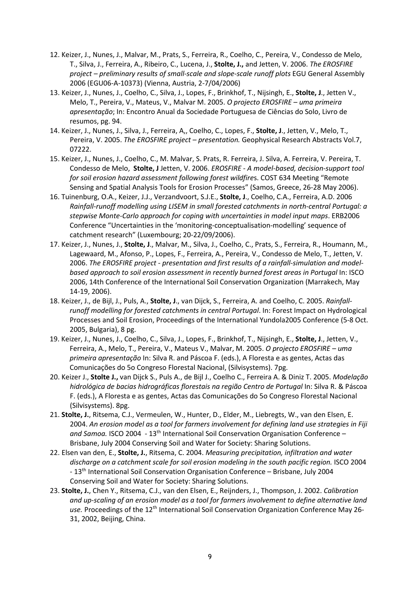- 12. Keizer, J., Nunes, J., Malvar, M., Prats, S., Ferreira, R., Coelho, C., Pereira, V., Condesso de Melo, T., Silva, J., Ferreira, A., Ribeiro, C., Lucena, J., **Stolte, J.,** and Jetten, V. 2006. *The EROSFIRE project – preliminary results of small-scale and slope-scale runoff plots* EGU General Assembly 2006 (EGU06-A-10373) (Vienna, Austria, 2-7/04/2006)
- 13. Keizer, J., Nunes, J., Coelho, C., Silva, J., Lopes, F., Brinkhof, T., Nijsingh, E., **Stolte, J**., Jetten V., Melo, T., Pereira, V., Mateus, V., Malvar M. 2005. *O projecto EROSFIRE – uma primeira apresentação*; In: Encontro Anual da Sociedade Portuguesa de Ciências do Solo, Livro de resumos, pg. 94.
- 14. Keizer, J., Nunes, J., Silva, J., Ferreira, A,, Coelho, C., Lopes, F., **Stolte, J**., Jetten, V., Melo, T., Pereira, V. 2005. *The EROSFIRE project – presentation.* Geophysical Research Abstracts Vol.7, 07222.
- 15. Keizer, J., Nunes, J., Coelho, C., M. Malvar, S. Prats, R. Ferreira, J. Silva, A. Ferreira, V. Pereira, T. Condesso de Melo, **Stolte, J** Jetten, V. 2006. *EROSFIRE - A model-based, decision-support tool for soil erosion hazard assessment following forest wildfire*s. COST 634 Meeting "Remote Sensing and Spatial Analysis Tools for Erosion Processes" (Samos, Greece, 26-28 May 2006).
- 16. Tuinenburg, O.A., Keizer, J.J., Verzandvoort, S.J.E., **Stolte, J**., Coelho, C.A., Ferreira, A.D. 2006 *Rainfall-runoff modelling using LISEM in small forested catchments in north-central Portugal: a stepwise Monte-Carlo approach for coping with uncertainties in model input maps*. ERB2006 Conference "Uncertainties in the 'monitoring-conceptualisation-modelling' sequence of catchment research" (Luxembourg; 20-22/09/2006).
- 17. Keizer, J., Nunes, J., **Stolte, J**., Malvar, M., Silva, J., Coelho, C., Prats, S., Ferreira, R., Houmann, M., Lagewaard, M., Afonso, P., Lopes, F., Ferreira, A., Pereira, V., Condesso de Melo, T., Jetten, V. 2006. *The EROSFIRE project - presentation and first results of a rainfall-simulation and modelbased approach to soil erosion assessment in recently burned forest areas in Portugal In: ISCO* 2006, 14th Conference of the International Soil Conservation Organization (Marrakech, May 14-19, 2006).
- 18. Keizer, J., de Bijl, J., Puls, A., **Stolte, J**., van Dijck, S., Ferreira, A. and Coelho, C. 2005. *Rainfallrunoff modelling for forested catchments in central Portugal*. In: Forest Impact on Hydrological Processes and Soil Erosion, Proceedings of the International Yundola2005 Conference (5-8 Oct. 2005, Bulgaria), 8 pg.
- 19. Keizer, J., Nunes, J., Coelho, C., Silva, J., Lopes, F., Brinkhof, T., Nijsingh, E., **Stolte, J**., Jetten, V., Ferreira, A., Melo, T., Pereira, V., Mateus V., Malvar, M. 2005. *O projecto EROSFIRE – uma primeira apresentação* In: Silva R. and Páscoa F. (eds.), A Floresta e as gentes, Actas das Comunicações do 5o Congreso Florestal Nacional, (Silvisystems). 7pg.
- 20. Keizer J., **Stolte J.,** van Dijck S., Puls A., de Bijl J., Coelho C., Ferreira A. & Diniz T. 2005. *Modelação hidrológica de bacias hidrográficas florestais na região Centro de Portugal* In: Silva R. & Páscoa F. (eds.), A Floresta e as gentes, Actas das Comunicações do 5o Congreso Florestal Nacional (Silvisystems). 8pg.
- 21. **Stolte, J.**, Ritsema, C.J., Vermeulen, W., Hunter, D., Elder, M., Liebregts, W., van den Elsen, E. 2004. *An erosion model as a tool for farmers involvement for defining land use strategies in Fiji and Samoa.* ISCO 2004 - 13th International Soil Conservation Organisation Conference – Brisbane, July 2004 Conserving Soil and Water for Society: Sharing Solutions.
- 22. Elsen van den, E., **Stolte, J.**, Ritsema, C. 2004. *Measuring precipitation, infiltration and water discharge on a catchment scale for soil erosion modeling in the south pacific region.* ISCO 2004 - 13<sup>th</sup> International Soil Conservation Organisation Conference – Brisbane, July 2004 Conserving Soil and Water for Society: Sharing Solutions.
- 23. **Stolte, J.**, Chen Y., Ritsema, C.J., van den Elsen, E., Reijnders, J., Thompson, J. 2002. *Calibration and up-scaling of an erosion model as a tool for farmers involvement to define alternative land*  use. Proceedings of the 12<sup>th</sup> International Soil Conservation Organization Conference May 26-31, 2002, Beijing, China.